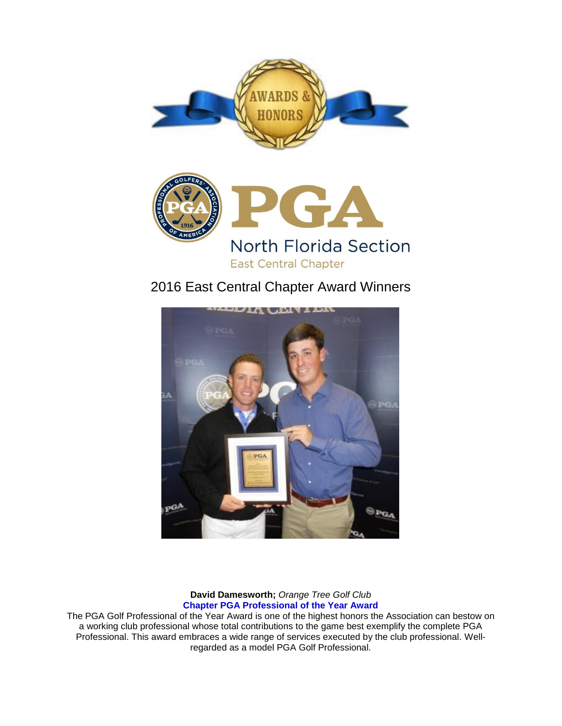



# 2016 East Central Chapter Award Winners



# **David Damesworth;** *Orange Tree Golf Club* **Chapter PGA Professional of the Year Award**

The PGA Golf Professional of the Year Award is one of the highest honors the Association can bestow on a working club professional whose total contributions to the game best exemplify the complete PGA Professional. This award embraces a wide range of services executed by the club professional. Wellregarded as a model PGA Golf Professional.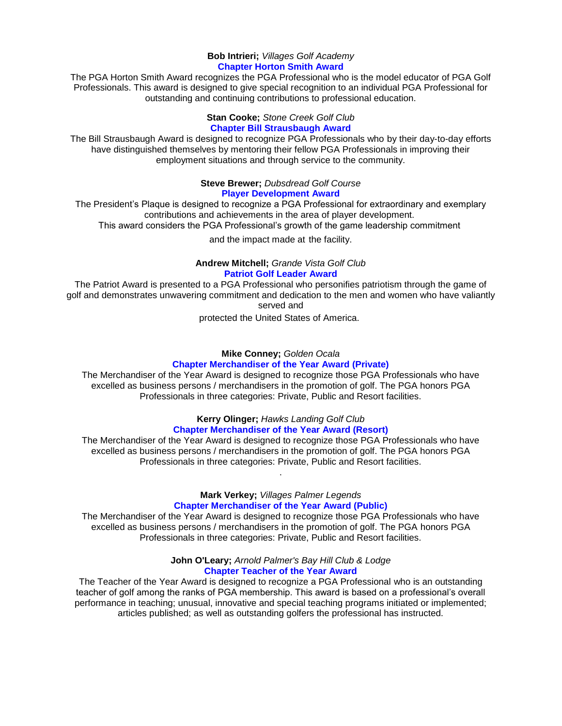#### **Bob Intrieri;** *Villages Golf Academy* **Chapter Horton Smith Award**

The PGA Horton Smith Award recognizes the PGA Professional who is the model educator of PGA Golf Professionals. This award is designed to give special recognition to an individual PGA Professional for outstanding and continuing contributions to professional education.

#### **Stan Cooke;** *Stone Creek Golf Club* **Chapter Bill Strausbaugh Award**

The Bill Strausbaugh Award is designed to recognize PGA Professionals who by their day-to-day efforts have distinguished themselves by mentoring their fellow PGA Professionals in improving their employment situations and through service to the community.

## **Steve Brewer;** *Dubsdread Golf Course* **Player Development Award**

The President's Plaque is designed to recognize a PGA Professional for extraordinary and exemplary contributions and achievements in the area of player development.

This award considers the PGA Professional's growth of the game leadership commitment

and the impact made at the facility.

## **Andrew Mitchell;** *Grande Vista Golf Club* **Patriot Golf Leader Award**

The Patriot Award is presented to a PGA Professional who personifies patriotism through the game of golf and demonstrates unwavering commitment and dedication to the men and women who have valiantly served and

protected the United States of America.

## **Mike Conney;** *Golden Ocala* **Chapter Merchandiser of the Year Award (Private)**

The Merchandiser of the Year Award is designed to recognize those PGA Professionals who have excelled as business persons / merchandisers in the promotion of golf. The PGA honors PGA Professionals in three categories: Private, Public and Resort facilities.

# **Kerry Olinger;** *Hawks Landing Golf Club* **Chapter Merchandiser of the Year Award (Resort)**

The Merchandiser of the Year Award is designed to recognize those PGA Professionals who have excelled as business persons / merchandisers in the promotion of golf. The PGA honors PGA Professionals in three categories: Private, Public and Resort facilities.

.

## **Mark Verkey;** *Villages Palmer Legends* **Chapter Merchandiser of the Year Award (Public)**

The Merchandiser of the Year Award is designed to recognize those PGA Professionals who have excelled as business persons / merchandisers in the promotion of golf. The PGA honors PGA Professionals in three categories: Private, Public and Resort facilities.

### **John O'Leary;** *Arnold Palmer's Bay Hill Club & Lodge* **Chapter Teacher of the Year Award**

The Teacher of the Year Award is designed to recognize a PGA Professional who is an outstanding teacher of golf among the ranks of PGA membership. This award is based on a professional's overall performance in teaching; unusual, innovative and special teaching programs initiated or implemented; articles published; as well as outstanding golfers the professional has instructed.